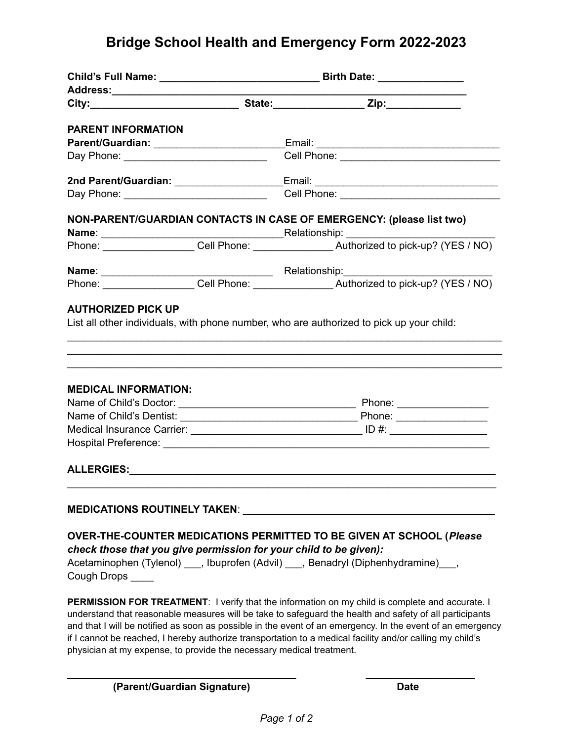## **Bridge School Health and Emergency Form 2022-2023**

| Address:______________________                                                                                                                                                                                                 |  |                                                                                                                                                                                                                                                                                                                                                                                                                                              |  |
|--------------------------------------------------------------------------------------------------------------------------------------------------------------------------------------------------------------------------------|--|----------------------------------------------------------------------------------------------------------------------------------------------------------------------------------------------------------------------------------------------------------------------------------------------------------------------------------------------------------------------------------------------------------------------------------------------|--|
|                                                                                                                                                                                                                                |  |                                                                                                                                                                                                                                                                                                                                                                                                                                              |  |
| <b>PARENT INFORMATION</b>                                                                                                                                                                                                      |  |                                                                                                                                                                                                                                                                                                                                                                                                                                              |  |
|                                                                                                                                                                                                                                |  | Parent/Guardian: _____________________________Email: ___________________________                                                                                                                                                                                                                                                                                                                                                             |  |
|                                                                                                                                                                                                                                |  |                                                                                                                                                                                                                                                                                                                                                                                                                                              |  |
|                                                                                                                                                                                                                                |  | 2nd Parent/Guardian: _______________________Email: _____________________________                                                                                                                                                                                                                                                                                                                                                             |  |
|                                                                                                                                                                                                                                |  | Cell Phone: New York Street, New York Street, New York Street, New York Street, New York Street, New York Street, New York Street, New York Street, New York Street, New York Street, New York Street, New York Street, New Yo                                                                                                                                                                                                               |  |
|                                                                                                                                                                                                                                |  | NON-PARENT/GUARDIAN CONTACTS IN CASE OF EMERGENCY: (please list two)                                                                                                                                                                                                                                                                                                                                                                         |  |
|                                                                                                                                                                                                                                |  |                                                                                                                                                                                                                                                                                                                                                                                                                                              |  |
|                                                                                                                                                                                                                                |  |                                                                                                                                                                                                                                                                                                                                                                                                                                              |  |
|                                                                                                                                                                                                                                |  |                                                                                                                                                                                                                                                                                                                                                                                                                                              |  |
|                                                                                                                                                                                                                                |  |                                                                                                                                                                                                                                                                                                                                                                                                                                              |  |
| <b>MEDICAL INFORMATION:</b>                                                                                                                                                                                                    |  |                                                                                                                                                                                                                                                                                                                                                                                                                                              |  |
|                                                                                                                                                                                                                                |  |                                                                                                                                                                                                                                                                                                                                                                                                                                              |  |
|                                                                                                                                                                                                                                |  |                                                                                                                                                                                                                                                                                                                                                                                                                                              |  |
|                                                                                                                                                                                                                                |  |                                                                                                                                                                                                                                                                                                                                                                                                                                              |  |
|                                                                                                                                                                                                                                |  |                                                                                                                                                                                                                                                                                                                                                                                                                                              |  |
| MEDICATIONS ROUTINELY TAKEN: Network and the contract of the contract of the contract of the contract of the contract of the contract of the contract of the contract of the contract of the contract of the contract of the c |  |                                                                                                                                                                                                                                                                                                                                                                                                                                              |  |
| check those that you give permission for your child to be given):<br>Acetaminophen (Tylenol) ___, Ibuprofen (Advil) ___, Benadryl (Diphenhydramine) ___,<br>Cough Drops _____                                                  |  | <b>OVER-THE-COUNTER MEDICATIONS PERMITTED TO BE GIVEN AT SCHOOL (Please</b>                                                                                                                                                                                                                                                                                                                                                                  |  |
|                                                                                                                                                                                                                                |  | <b>PERMISSION FOR TREATMENT:</b> I verify that the information on my child is complete and accurate. I<br>understand that reasonable measures will be take to safeguard the health and safety of all participants<br>and that I will be notified as soon as possible in the event of an emergency. In the event of an emergency<br>if I cannot be reached, I hereby authorize transportation to a medical facility and/or calling my child's |  |

**(Parent/Guardian Signature) Date**

physician at my expense, to provide the necessary medical treatment.

 $\overline{\phantom{a}}$  , and the contribution of the contribution of the contribution of the contribution of the contribution of the contribution of the contribution of the contribution of the contribution of the contribution of the